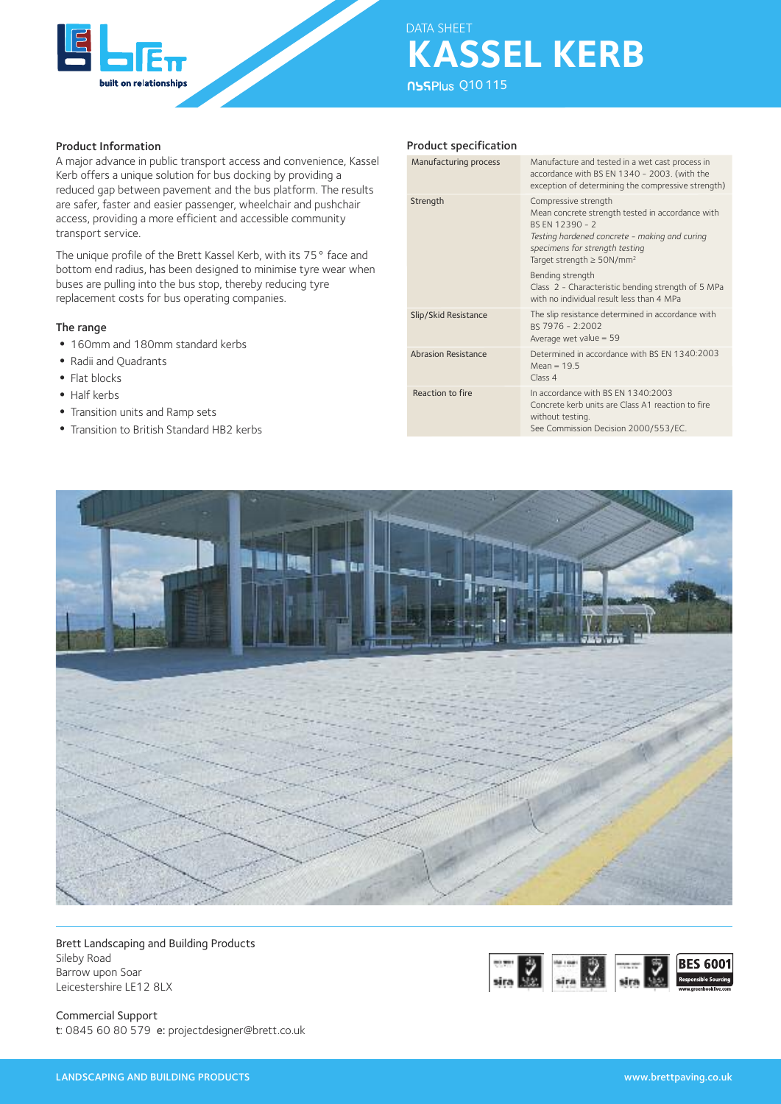

## Product Information

A major advance in public transport access and convenience, Kassel Kerb offers a unique solution for bus docking by providing a reduced gap between pavement and the bus platform. The results are safer, faster and easier passenger, wheelchair and pushchair access, providing a more efficient and accessible community transport service.

The unique profile of the Brett Kassel Kerb, with its 75° face and bottom end radius, has been designed to minimise tyre wear when buses are pulling into the bus stop, thereby reducing tyre replacement costs for bus operating companies.

### The range

- 160mm and 180mm standard kerbs
- Radii and Quadrants
- Flat blocks
- Half kerbs
- •Transition units and Ramp sets
- •Transition to British Standard HB2 kerbs

## Product specification

| Manufacturing process      | Manufacture and tested in a wet cast process in<br>accordance with BS EN 1340 - 2003. (with the<br>exception of determining the compressive strength)                                                                        |
|----------------------------|------------------------------------------------------------------------------------------------------------------------------------------------------------------------------------------------------------------------------|
| Strength                   | Compressive strength<br>Mean concrete strength tested in accordance with<br>BS FN 12390 - 2<br>Testing hardened concrete - making and curing<br>specimens for strength testing<br>Target strength $\geq$ 50N/mm <sup>2</sup> |
|                            | Bending strength<br>Class 2 - Characteristic bending strength of 5 MPa<br>with no individual result less than 4 MPa                                                                                                          |
| Slip/Skid Resistance       | The slip resistance determined in accordance with<br>BS 7976 - 2:2002<br>Average wet value = $59$                                                                                                                            |
| <b>Abrasion Resistance</b> | Determined in accordance with BS EN 1340:2003<br>$Mean = 19.5$<br>Class <sub>4</sub>                                                                                                                                         |
| Reaction to fire           | In accordance with BS EN 1340:2003<br>Concrete kerb units are Class A1 reaction to fire<br>without testing.<br>See Commission Decision 2000/553/EC.                                                                          |



Brett Landscaping and Building Products Sileby Road Barrow upon Soar Leicestershire LE12 8LX



Commercial Support t: 0845 60 80 579 e: projectdesigner@brett.co.uk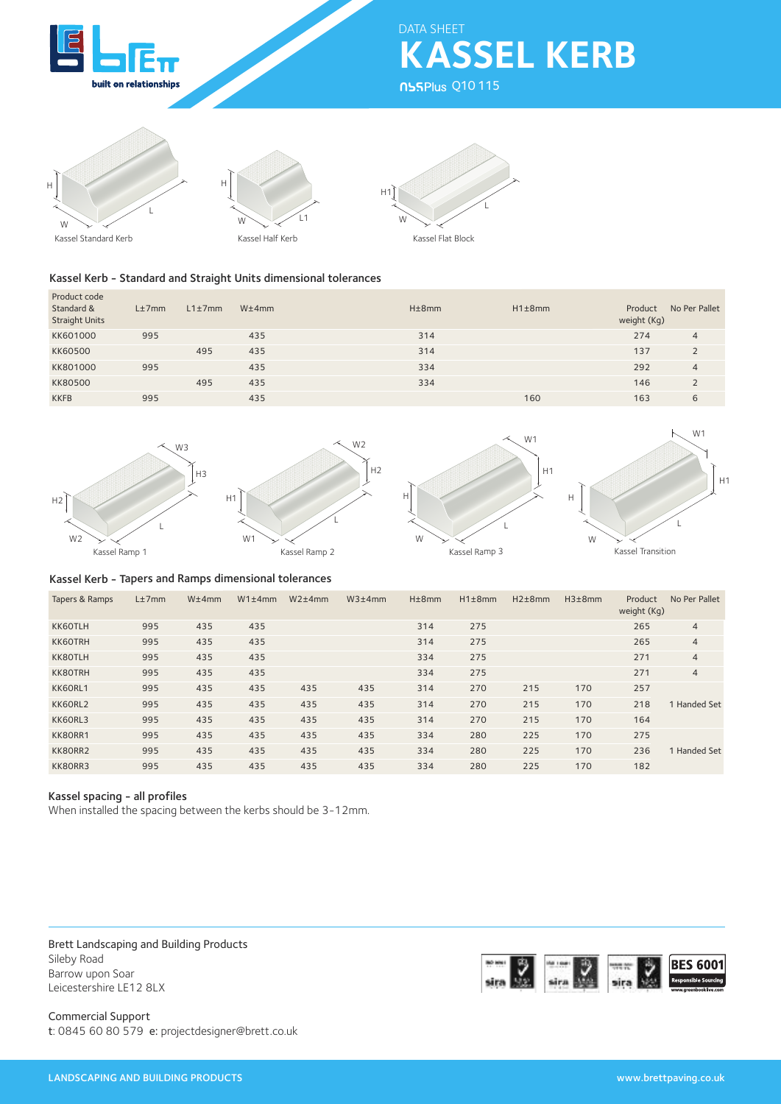

**KASSEL KERB** DATA SHEET

**NSSPlus Q10115** 





Kassel Kerb - Standard and Straight Units dimensional tolerances

| Product code<br>Standard &<br><b>Straight Units</b> | L±7mm | $L1 \pm 7$ mm | W±4mm | H±8mm | $H1\pm8mm$ | No Per Pallet<br>Product<br>weight (Kg) |
|-----------------------------------------------------|-------|---------------|-------|-------|------------|-----------------------------------------|
| KK601000                                            | 995   |               | 435   | 314   |            | 274<br>4                                |
| <b>KK60500</b>                                      |       | 495           | 435   | 314   |            | 137                                     |
| KK801000                                            | 995   |               | 435   | 334   |            | 292<br>$\overline{4}$                   |
| <b>KK80500</b>                                      |       | 495           | 435   | 334   |            | 146<br>$\overline{2}$                   |
| <b>KKFB</b>                                         | 995   |               | 435   |       | 160        | 163<br>6                                |

 $H<sub>2</sub>$ 







H1



# Kassel Kerb - Tapers and Ramps dimensional tolerances

 $H<sub>1</sub>$ 

| Tapers & Ramps | L±7mm | W±4mm | $W1\pm4mm$ | $W2\pm4mm$ | W3±4mm | $H\pm 8$ mm | H1±8mm | $H2\pm8mm$ | $H3\pm8$ mm | Product<br>weight (Kg) | No Per Pallet  |
|----------------|-------|-------|------------|------------|--------|-------------|--------|------------|-------------|------------------------|----------------|
| KK60TLH        | 995   | 435   | 435        |            |        | 314         | 275    |            |             | 265                    | $\overline{4}$ |
| <b>KK6OTRH</b> | 995   | 435   | 435        |            |        | 314         | 275    |            |             | 265                    | $\overline{4}$ |
| KK80TLH        | 995   | 435   | 435        |            |        | 334         | 275    |            |             | 271                    | $\overline{4}$ |
| KK80TRH        | 995   | 435   | 435        |            |        | 334         | 275    |            |             | 271                    | $\overline{4}$ |
| KK60RL1        | 995   | 435   | 435        | 435        | 435    | 314         | 270    | 215        | 170         | 257                    |                |
| KK60RL2        | 995   | 435   | 435        | 435        | 435    | 314         | 270    | 215        | 170         | 218                    | 1 Handed Set   |
| KK60RL3        | 995   | 435   | 435        | 435        | 435    | 314         | 270    | 215        | 170         | 164                    |                |
| KK80RR1        | 995   | 435   | 435        | 435        | 435    | 334         | 280    | 225        | 170         | 275                    |                |
| KK80RR2        | 995   | 435   | 435        | 435        | 435    | 334         | 280    | 225        | 170         | 236                    | 1 Handed Set   |
| KK80RR3        | 995   | 435   | 435        | 435        | 435    | 334         | 280    | 225        | 170         | 182                    |                |

# Kassel spacing - all profiles

When installed the spacing between the kerbs should be 3-12mm.

Brett Landscaping and Building Products Sileby Road Barrow upon Soar Leicestershire LE12 8LX

**BES 6001** 

Commercial Support t: 0845 60 80 579 e: projectdesigner@brett.co.uk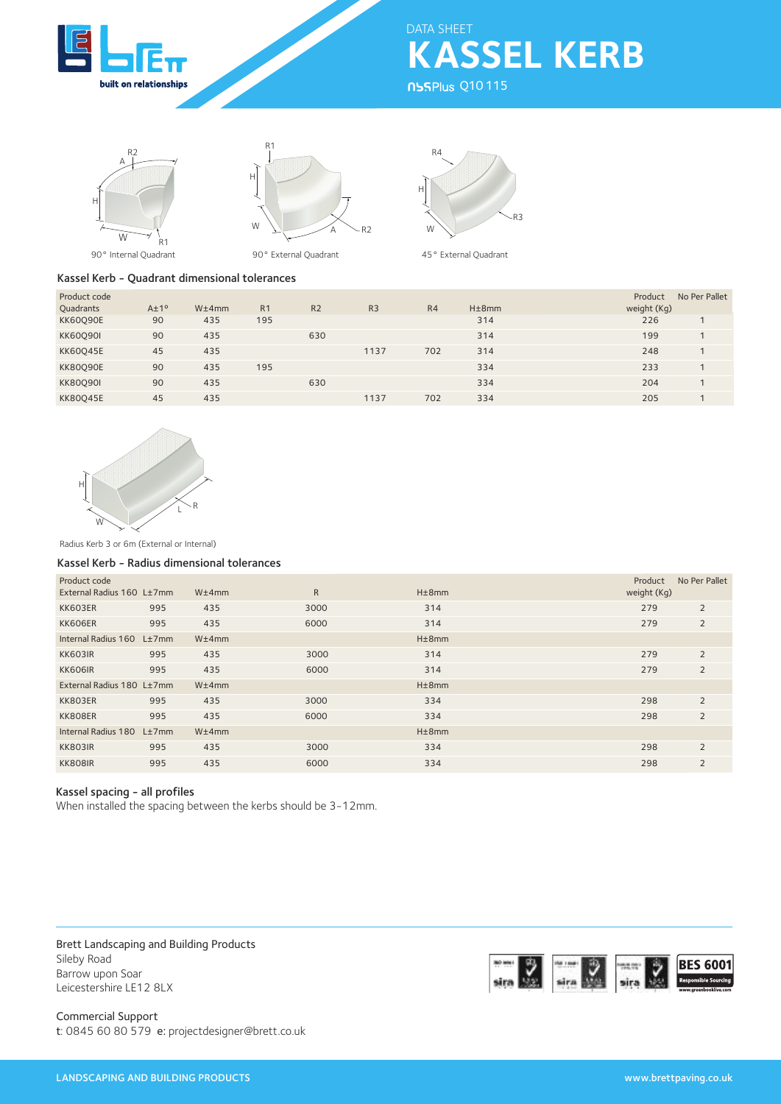

**KASSEL KERB** DATA SHEET

**NSSPlus Q10115** 





90° Internal Quadrant

90° External Quadrant



45° External Quadrant

## Kassel Kerb - Quadrant dimensional tolerances

| Product code    |                   |       |                |                |                |                |       | No Per Pallet<br>Product |
|-----------------|-------------------|-------|----------------|----------------|----------------|----------------|-------|--------------------------|
| Quadrants       | $A \pm 1^{\circ}$ | W±4mm | R <sub>1</sub> | R <sub>2</sub> | R <sub>3</sub> | R <sub>4</sub> | H±8mm | weight (Kg)              |
| <b>KK60090E</b> | 90                | 435   | 195            |                |                |                | 314   | 226                      |
| <b>KK60090I</b> | 90                | 435   |                | 630            |                |                | 314   | 199                      |
| <b>KK60045E</b> | 45                | 435   |                |                | 1137           | 702            | 314   | 248                      |
| <b>KK80090E</b> | 90                | 435   | 195            |                |                |                | 334   | 233                      |
| <b>KK80090I</b> | 90                | 435   |                | 630            |                |                | 334   | 204                      |
| <b>KK80045E</b> | 45                | 435   |                |                | 1137           | 702            | 334   | 205                      |



Radius Kerb 3 or 6m (External or Internal)

## Kassel Kerb - Radius dimensional tolerances

| Product code<br>External Radius 160 L±7mm |     | W±4mm | R    | H±8mm       | Product<br>weight (Kg) | No Per Pallet  |
|-------------------------------------------|-----|-------|------|-------------|------------------------|----------------|
| KK603ER                                   | 995 | 435   | 3000 | 314         | 279                    | 2              |
| KK606ER                                   | 995 | 435   | 6000 | 314         | 279                    | 2              |
| Internal Radius 160 L±7mm                 |     | W±4mm |      | $H\pm 8$ mm |                        |                |
| KK603IR                                   | 995 | 435   | 3000 | 314         | 279                    | $\overline{2}$ |
| <b>KK606IR</b>                            | 995 | 435   | 6000 | 314         | 279                    | $\overline{2}$ |
| External Radius 180 L±7mm                 |     | W±4mm |      | $H\pm 8$ mm |                        |                |
| KK803ER                                   | 995 | 435   | 3000 | 334         | 298                    | 2              |
| KK808ER                                   | 995 | 435   | 6000 | 334         | 298                    | $\overline{2}$ |
| Internal Radius 180 L±7mm                 |     | W±4mm |      | $H\pm 8$ mm |                        |                |
| <b>KK803IR</b>                            | 995 | 435   | 3000 | 334         | 298                    | $\overline{2}$ |
| <b>KK808IR</b>                            | 995 | 435   | 6000 | 334         | 298                    | $\overline{2}$ |

# Kassel spacing - all profiles

When installed the spacing between the kerbs should be 3-12mm.

Brett Landscaping and Building Products Sileby Road Barrow upon Soar Leicestershire LE12 8LX



Commercial Support t: 0845 60 80 579 e: projectdesigner@brett.co.uk